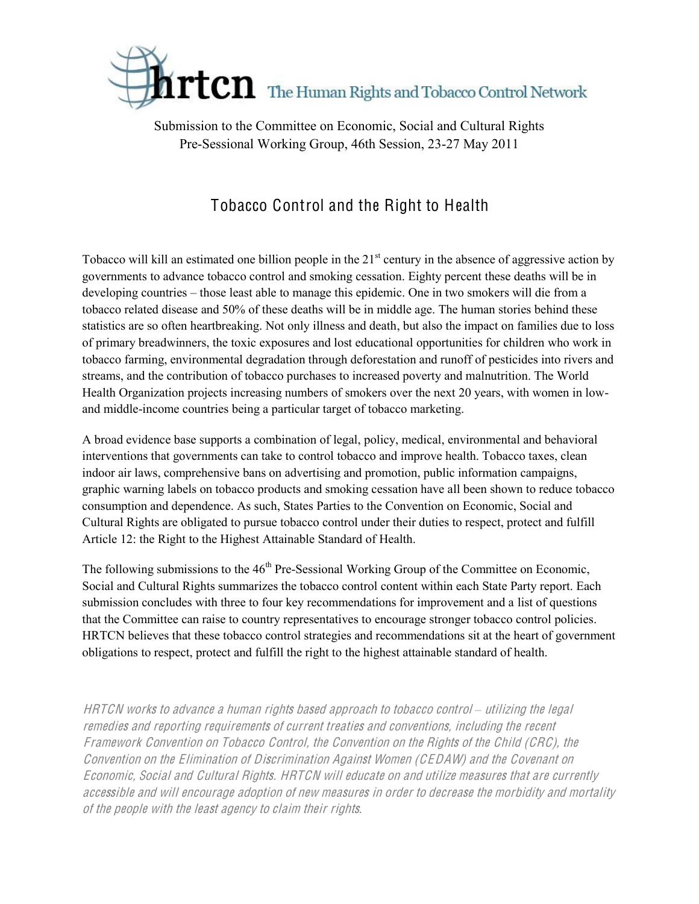

Submission to the Committee on Economic, Social and Cultural Rights Pre-Sessional Working Group, 46th Session, 23-27 May 2011

## Tobacco Control and the Right to Health

Tobacco will kill an estimated one billion people in the  $21<sup>st</sup>$  century in the absence of aggressive action by governments to advance tobacco control and smoking cessation. Eighty percent these deaths will be in developing countries – those least able to manage this epidemic. One in two smokers will die from a tobacco related disease and 50% of these deaths will be in middle age. The human stories behind these statistics are so often heartbreaking. Not only illness and death, but also the impact on families due to loss of primary breadwinners, the toxic exposures and lost educational opportunities for children who work in tobacco farming, environmental degradation through deforestation and runoff of pesticides into rivers and streams, and the contribution of tobacco purchases to increased poverty and malnutrition. The World Health Organization projects increasing numbers of smokers over the next 20 years, with women in lowand middle-income countries being a particular target of tobacco marketing.

A broad evidence base supports a combination of legal, policy, medical, environmental and behavioral interventions that governments can take to control tobacco and improve health. Tobacco taxes, clean indoor air laws, comprehensive bans on advertising and promotion, public information campaigns, graphic warning labels on tobacco products and smoking cessation have all been shown to reduce tobacco consumption and dependence. As such, States Parties to the Convention on Economic, Social and Cultural Rights are obligated to pursue tobacco control under their duties to respect, protect and fulfill Article 12: the Right to the Highest Attainable Standard of Health.

The following submissions to the  $46<sup>th</sup>$  Pre-Sessional Working Group of the Committee on Economic, Social and Cultural Rights summarizes the tobacco control content within each State Party report. Each submission concludes with three to four key recommendations for improvement and a list of questions that the Committee can raise to country representatives to encourage stronger tobacco control policies. HRTCN believes that these tobacco control strategies and recommendations sit at the heart of government obligations to respect, protect and fulfill the right to the highest attainable standard of health.

HRTCN works to advance a human rights based approach to tobacco control – utilizing the legal <sup>r</sup>emedie<sup>s</sup> and <sup>r</sup>eporting <sup>r</sup><sup>e</sup>quir<sup>e</sup>ments <sup>o</sup>f <sup>c</sup>urrent treatie<sup>s</sup> and <sup>c</sup>onventions, including th<sup>e</sup> <sup>r</sup>ecent Framework Convention on Tobacc<sup>o</sup> Control, th<sup>e</sup> Convention on th<sup>e</sup> Rights <sup>o</sup>f th<sup>e</sup> Child (CRC), th<sup>e</sup> Convention on th<sup>e</sup> Elimination <sup>o</sup>f Discrimination Against Wome<sup>n</sup> (CEDAW) and th<sup>e</sup> Covenant on Economic, Social and Cultural Rights. HRTCN will <sup>e</sup>ducat<sup>e</sup> on and <sup>u</sup>tiliz<sup>e</sup> <sup>m</sup>easure<sup>s</sup> that ar<sup>e</sup> <sup>c</sup>urrently <sup>a</sup>ccessibl<sup>e</sup> and will <sup>e</sup>ncourag<sup>e</sup> adoption <sup>o</sup>f <sup>n</sup>e<sup>w</sup> <sup>m</sup>easure<sup>s</sup> in orde<sup>r</sup> t<sup>o</sup> decreas<sup>e</sup> th<sup>e</sup> <sup>m</sup>orbidity and <sup>m</sup>ortality <sup>o</sup>f th<sup>e</sup> p<sup>e</sup>opl<sup>e</sup> with th<sup>e</sup> least agency t<sup>o</sup> <sup>c</sup>lai<sup>m</sup> their rights.